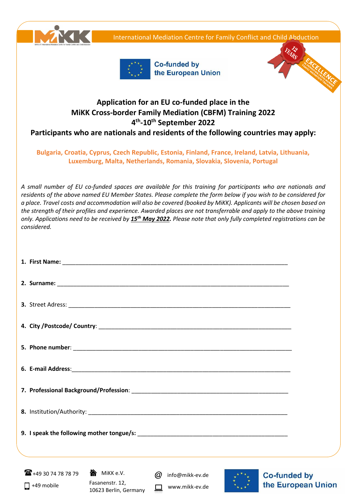International Mediation Centre for Family Conflict and Child Abduction





Co-funded by the European Union



## **Application for an EU co-funded place in the MiKK Cross-border Family Mediation (CBFM) Training 2022 4 th -10th September 2022**

**Participants who are nationals and residents of the following countries may apply:**

## **Bulgaria, Croatia, Cyprus, Czech Republic, Estonia, Finland, France, Ireland, Latvia, Lithuania, Luxemburg, Malta, Netherlands, Romania, Slovakia, Slovenia, Portugal**

*A small number of EU co-funded spaces are available for this training for participants who are nationals and residents of the above named EU Member States. Please complete the form below if you wish to be considered for a place. Travel costs and accommodation will also be covered (booked by MiKK). Applicants will be chosen based on the strength of their profiles and experience. Awarded places are not transferrable and apply to the above training only. Applications need to be received by 15th May 2022. Please note that only fully completed registrations can be considered.*

| $\mathbf{R}$ +49 30 74 78 78 79<br>$\Box$ +49 mobile | 合 MiKK e.V.<br>Fasanenstr. 12,<br>10623 Berlin, Germany | ω<br>info@mikk-ev.de<br>www.mikk-ev.de | <b>Co-funded by</b><br>the European Union |
|------------------------------------------------------|---------------------------------------------------------|----------------------------------------|-------------------------------------------|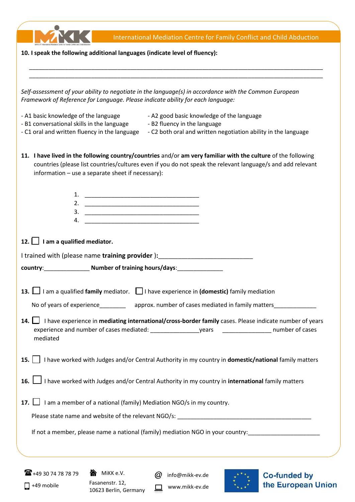|                                                                                             | International Mediation Centre for Family Conflict and Child Abduction                                                                                                                                                                                                            |                     |
|---------------------------------------------------------------------------------------------|-----------------------------------------------------------------------------------------------------------------------------------------------------------------------------------------------------------------------------------------------------------------------------------|---------------------|
|                                                                                             | 10. I speak the following additional languages (indicate level of fluency):                                                                                                                                                                                                       |                     |
|                                                                                             |                                                                                                                                                                                                                                                                                   |                     |
|                                                                                             |                                                                                                                                                                                                                                                                                   |                     |
|                                                                                             | Self-assessment of your ability to negotiate in the language(s) in accordance with the Common European<br>Framework of Reference for Language. Please indicate ability for each language:                                                                                         |                     |
| - A1 basic knowledge of the language                                                        | - A2 good basic knowledge of the language                                                                                                                                                                                                                                         |                     |
| - B1 conversational skills in the language<br>- C1 oral and written fluency in the language | - B2 fluency in the language<br>- C2 both oral and written negotiation ability in the language                                                                                                                                                                                    |                     |
|                                                                                             | 11. I have lived in the following country/countries and/or am very familiar with the culture of the following<br>countries (please list countries/cultures even if you do not speak the relevant language/s and add relevant<br>information - use a separate sheet if necessary): |                     |
|                                                                                             |                                                                                                                                                                                                                                                                                   |                     |
| 3.                                                                                          |                                                                                                                                                                                                                                                                                   |                     |
| 4.                                                                                          |                                                                                                                                                                                                                                                                                   |                     |
|                                                                                             |                                                                                                                                                                                                                                                                                   |                     |
| 12. $\Box$ I am a qualified mediator.                                                       |                                                                                                                                                                                                                                                                                   |                     |
|                                                                                             | I trained with (please name training provider): ________________________________                                                                                                                                                                                                  |                     |
|                                                                                             | country: Number of training hours/days: 1999                                                                                                                                                                                                                                      |                     |
|                                                                                             | 13. I am a qualified family mediator. I I have experience in (domestic) family mediation                                                                                                                                                                                          |                     |
| No of years of experience_________                                                          | approx. number of cases mediated in family matters_                                                                                                                                                                                                                               |                     |
| 14. $\Box$                                                                                  | I have experience in mediating international/cross-border family cases. Please indicate number of years                                                                                                                                                                           |                     |
| mediated                                                                                    |                                                                                                                                                                                                                                                                                   |                     |
|                                                                                             | 15.       have worked with Judges and/or Central Authority in my country in <b>domestic/national</b> family matters                                                                                                                                                               |                     |
|                                                                                             | 16. I have worked with Judges and/or Central Authority in my country in <b>international</b> family matters                                                                                                                                                                       |                     |
|                                                                                             | 17. $\Box$ I am a member of a national (family) Mediation NGO/s in my country.                                                                                                                                                                                                    |                     |
|                                                                                             |                                                                                                                                                                                                                                                                                   |                     |
|                                                                                             | If not a member, please name a national (family) mediation NGO in your country:                                                                                                                                                                                                   |                     |
|                                                                                             |                                                                                                                                                                                                                                                                                   |                     |
| <b>T</b> +49 30 74 78 78 79                                                                 | MIKK e.V.<br>info@mikk-ev.de<br>(a)                                                                                                                                                                                                                                               | <b>Co-funded by</b> |
| $\Box$ +49 mobile                                                                           | Fasanenstr. 12,<br>www.mikk-ev.de<br>10623 Berlin, Germany                                                                                                                                                                                                                        | the European Union  |